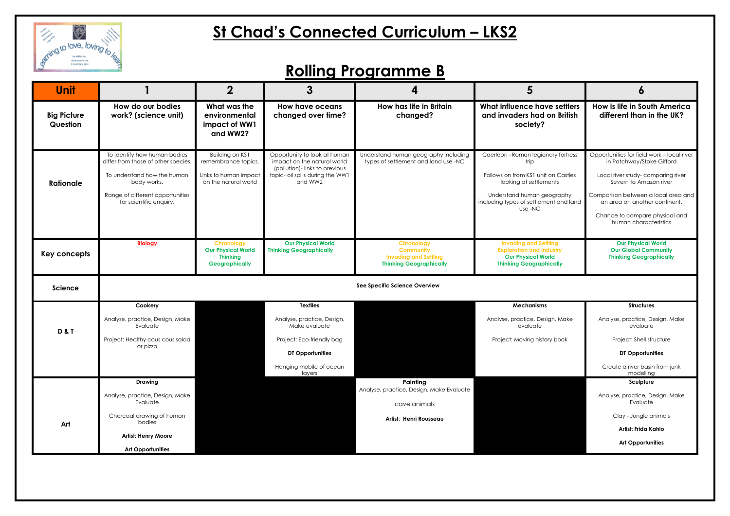

### **Rolling Programme B**

| <b>Unit</b>                    |                                                                                                                                                                                  | $\boldsymbol{2}$                                                                           | 3                                                                                                                                           | 4                                                                                                       | 5                                                                                                                                                                                            | O                                                                                                                                                                                                                                                                         |
|--------------------------------|----------------------------------------------------------------------------------------------------------------------------------------------------------------------------------|--------------------------------------------------------------------------------------------|---------------------------------------------------------------------------------------------------------------------------------------------|---------------------------------------------------------------------------------------------------------|----------------------------------------------------------------------------------------------------------------------------------------------------------------------------------------------|---------------------------------------------------------------------------------------------------------------------------------------------------------------------------------------------------------------------------------------------------------------------------|
| <b>Big Picture</b><br>Question | How do our bodies<br>work? (science unit)                                                                                                                                        | What was the<br>environmental<br>impact of WW1<br>and WW2?                                 | <b>How have oceans</b><br>changed over time?                                                                                                | How has life in Britain<br>changed?                                                                     | What influence have settlers<br>and invaders had on British<br>society?                                                                                                                      | How is life in South America<br>different than in the UK?                                                                                                                                                                                                                 |
| Rationale                      | To identify how human bodies<br>differ from those of other species.<br>To understand how the human<br>body works.<br>Range of different opportunities<br>for scientific enquiry. | Building on KS1<br>remembrance topics.<br>Links to human impact<br>on the natural world    | Opportunity to look at human<br>impact on the natural world<br>(pollution)-links to previous<br>topic- oil spills during the WW1<br>and WW2 | Understand human geography including<br>types of settlement and land use -NC                            | Caerleon-Roman legionary fortress<br>trip<br>Follows on from KS1 unit on Castles<br>looking at settlements<br>Understand human geography<br>including types of settlement and land<br>use-NC | Opportunities for field work - local river<br>in Patchway/Stoke Gifford<br>Local river study-comparing river<br>Severn to Amazon river<br>Comparison between a local area and<br>an area on another continent.<br>Chance to compare physical and<br>human characteristics |
| Key concepts                   | <b>Biology</b>                                                                                                                                                                   | <b>Chronology</b><br><b>Our Physical World</b><br><b>Thinking</b><br><b>Geographically</b> | <b>Our Physical World</b><br><b>Thinking Geographically</b>                                                                                 | <b>Chronology</b><br><b>Community</b><br><b>Invading and Settling</b><br><b>Thinking Geographically</b> | <b>Invading and Settling</b><br><b>Exploration and industry</b><br><b>Our Physical World</b><br><b>Thinking Geographically</b>                                                               | <b>Our Physical World</b><br><b>Our Global Community</b><br><b>Thinking Geographically</b>                                                                                                                                                                                |
| <b>Science</b>                 | See Specific Science Overview                                                                                                                                                    |                                                                                            |                                                                                                                                             |                                                                                                         |                                                                                                                                                                                              |                                                                                                                                                                                                                                                                           |
|                                | Cookery                                                                                                                                                                          |                                                                                            | <b>Textiles</b>                                                                                                                             |                                                                                                         | <b>Mechanisms</b>                                                                                                                                                                            | <b>Structures</b>                                                                                                                                                                                                                                                         |
| <b>D&amp;T</b>                 | Analyse, practice, Design, Make<br>Evaluate                                                                                                                                      |                                                                                            | Analyse, practice, Design,<br>Make evaluate                                                                                                 |                                                                                                         | Analyse, practice, Design, Make<br>evaluate                                                                                                                                                  | Analyse, practice, Design, Make<br>evaluate                                                                                                                                                                                                                               |
|                                | Project: Healthy cous cous salad<br>or pizza                                                                                                                                     |                                                                                            | Project: Eco-friendly bag                                                                                                                   |                                                                                                         | Project: Moving history book                                                                                                                                                                 | Project: Shell structure                                                                                                                                                                                                                                                  |
|                                |                                                                                                                                                                                  |                                                                                            | DT Opportunities                                                                                                                            |                                                                                                         |                                                                                                                                                                                              | DT Opportunities                                                                                                                                                                                                                                                          |
|                                |                                                                                                                                                                                  |                                                                                            | Hanging mobile of ocean<br>layers                                                                                                           |                                                                                                         |                                                                                                                                                                                              | Create a river basin from junk<br>modelling                                                                                                                                                                                                                               |
|                                | <b>Drawing</b>                                                                                                                                                                   |                                                                                            |                                                                                                                                             | Painting<br>Analyse, practice, Design, Make Evaluate                                                    |                                                                                                                                                                                              | Sculpture                                                                                                                                                                                                                                                                 |
|                                | Analyse, practice, Design, Make<br>Evaluate                                                                                                                                      |                                                                                            |                                                                                                                                             | cave animals                                                                                            |                                                                                                                                                                                              | Analyse, practice, Design, Make<br>Evaluate                                                                                                                                                                                                                               |
| Art                            | Charcoal drawing of human<br>bodies                                                                                                                                              |                                                                                            |                                                                                                                                             | Artist: Henri Rousseau                                                                                  |                                                                                                                                                                                              | Clay - Jungle animals                                                                                                                                                                                                                                                     |
|                                | <b>Artist: Henry Moore</b>                                                                                                                                                       |                                                                                            |                                                                                                                                             |                                                                                                         |                                                                                                                                                                                              | Artist: Frida Kahlo                                                                                                                                                                                                                                                       |
|                                | <b>Art Opportunities</b>                                                                                                                                                         |                                                                                            |                                                                                                                                             |                                                                                                         |                                                                                                                                                                                              | <b>Art Opportunities</b>                                                                                                                                                                                                                                                  |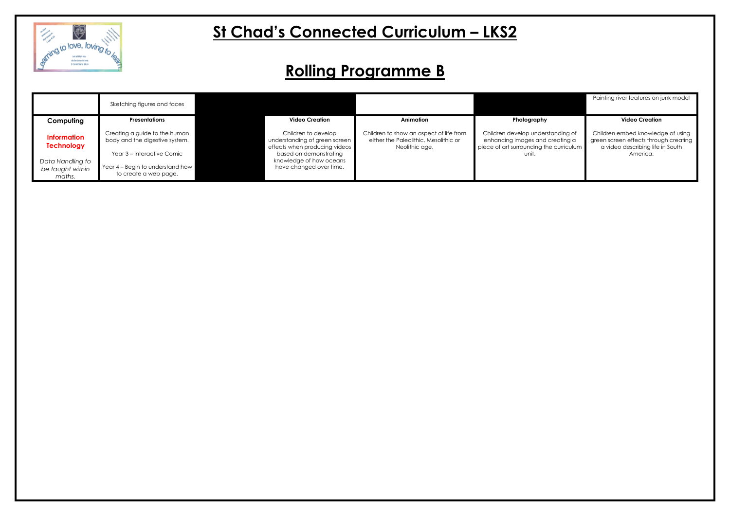

### **Rolling Programme B**

|                                                | Sketching figures and faces                                                                   |                                                                                                                 |                                                                                                    |                                                                                                                          |
|------------------------------------------------|-----------------------------------------------------------------------------------------------|-----------------------------------------------------------------------------------------------------------------|----------------------------------------------------------------------------------------------------|--------------------------------------------------------------------------------------------------------------------------|
| Computing                                      | <b>Presentations</b>                                                                          | <b>Video Creation</b>                                                                                           | Animation                                                                                          | Photography                                                                                                              |
| <b>Information</b><br><b>Technology</b>        | Creating a guide to the human<br>body and the digestive system.<br>Year 3 – Interactive Comic | Children to develop<br>understanding of green screen<br>effects when producing videos<br>based on demonstrating | Children to show an aspect of life from<br>either the Paleolithic, Mesolithic or<br>Neolithic age. | Children develop understanding of<br>enhancing images and creating a<br>piece of art surrounding the curriculum<br>unit. |
| Data Handling to<br>be taught within<br>maths. | Year 4 – Begin to understand how<br>to create a web page.                                     | knowledge of how oceans<br>have changed over time.                                                              |                                                                                                    |                                                                                                                          |

|                                        | Painting river features on junk model                                                                                      |
|----------------------------------------|----------------------------------------------------------------------------------------------------------------------------|
|                                        | <b>Video Creation</b>                                                                                                      |
| anding of<br>reating a<br>e curriculum | Children embed knowledge of using<br>green screen effects through creating<br>a video describing life in South<br>America. |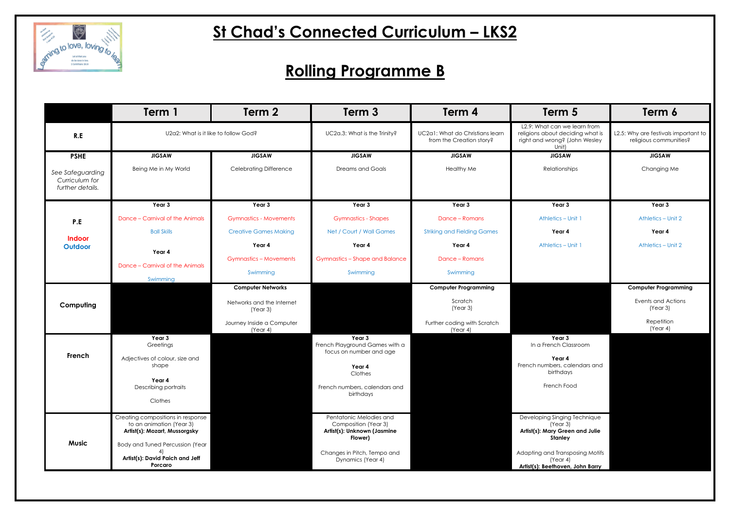

### **Rolling Programme B**

|                                                        | Term 1                                                                                         | Term 2                                | Term 3                                                                                    | Term 4                                                      | Term 5                                                                                                     | Term 6                                                         |
|--------------------------------------------------------|------------------------------------------------------------------------------------------------|---------------------------------------|-------------------------------------------------------------------------------------------|-------------------------------------------------------------|------------------------------------------------------------------------------------------------------------|----------------------------------------------------------------|
| R.E                                                    | U2a2: What is it like to follow God?                                                           |                                       | UC2a.3: What is the Trinity?                                                              | UC2a1: What do Christians learn<br>from the Creation story? | L2.9: What can we learn from<br>religions about deciding what is<br>right and wrong? (John Wesley<br>Unit) | L2.5: Why are festivals important to<br>religious communities? |
| <b>PSHE</b>                                            | <b>JIGSAW</b>                                                                                  | <b>JIGSAW</b>                         | <b>JIGSAW</b>                                                                             | <b>JIGSAW</b>                                               | <b>JIGSAW</b>                                                                                              | <b>JIGSAW</b>                                                  |
| See Safeguarding<br>Curriculum for<br>further details. | Being Me in My World                                                                           | <b>Celebrating Difference</b>         | <b>Dreams and Goals</b>                                                                   | <b>Healthy Me</b>                                           | Relationships                                                                                              | Changing Me                                                    |
|                                                        | Year 3                                                                                         | Year 3                                | Year 3                                                                                    | Year 3                                                      | Year 3                                                                                                     | Year 3                                                         |
| P.E                                                    | Dance - Carnival of the Animals                                                                | <b>Gymnastics - Movements</b>         | <b>Gymnastics - Shapes</b>                                                                | Dance - Romans                                              | Athletics - Unit 1                                                                                         | Athletics - Unit 2                                             |
|                                                        | <b>Ball Skills</b>                                                                             | <b>Creative Games Making</b>          | Net / Court / Wall Games                                                                  | <b>Striking and Fielding Games</b>                          | Year 4                                                                                                     | Year 4                                                         |
| Indoor<br>Outdoor                                      |                                                                                                | Year 4                                | Year 4                                                                                    | Year 4                                                      | Athletics - Unit 1                                                                                         | Athletics - Unit 2                                             |
|                                                        | Year 4                                                                                         | <b>Gymnastics - Movements</b>         | <b>Gymnastics - Shape and Balance</b>                                                     | Dance - Romans                                              |                                                                                                            |                                                                |
|                                                        | Dance - Carnival of the Animals                                                                | Swimming                              | Swimming                                                                                  | Swimming                                                    |                                                                                                            |                                                                |
|                                                        | Swimming                                                                                       | <b>Computer Networks</b>              |                                                                                           | <b>Computer Programming</b>                                 |                                                                                                            | <b>Computer Programming</b>                                    |
| Computing                                              |                                                                                                | Networks and the Internet<br>(Year 3) |                                                                                           | Scratch<br>(Year 3)                                         |                                                                                                            | <b>Events and Actions</b><br>(Year 3)                          |
|                                                        |                                                                                                | Journey Inside a Computer<br>(Year 4) |                                                                                           | Further coding with Scratch<br>(Year 4)                     |                                                                                                            | Repetition<br>(Year 4)                                         |
| French                                                 | Year 3<br>Greetings<br>Adjectives of colour, size and                                          |                                       | Year 3<br>French Playground Games with a<br>focus on number and age                       |                                                             | Year 3<br>In a French Classroom<br>Year 4                                                                  |                                                                |
|                                                        | shape                                                                                          |                                       | Year 4<br>Clothes                                                                         |                                                             | French numbers, calendars and<br>birthdays                                                                 |                                                                |
|                                                        | Year 4<br>Describing portraits                                                                 |                                       | French numbers, calendars and<br>birthdays                                                |                                                             | French Food                                                                                                |                                                                |
|                                                        | Clothes                                                                                        |                                       |                                                                                           |                                                             |                                                                                                            |                                                                |
|                                                        | Creating compositions in response<br>to an animation (Year 3)<br>Artist(s): Mozart, Mussorgsky |                                       | Pentatonic Melodies and<br>Composition (Year 3)<br>Artist(s): Unknown (Jasmine<br>Flower) |                                                             | Developing Singing Technique<br>(Year 3)<br>Artist(s): Mary Green and Julie<br>Stanley                     |                                                                |
| <b>Music</b>                                           | Body and Tuned Percussion (Year<br>Artist(s): David Paich and Jeff<br>Porcaro                  |                                       | Changes in Pitch, Tempo and<br>Dynamics (Year 4)                                          |                                                             | Adapting and Transposing Motifs<br>(Year 4)<br>Artist(s): Beethoven, John Barry                            |                                                                |